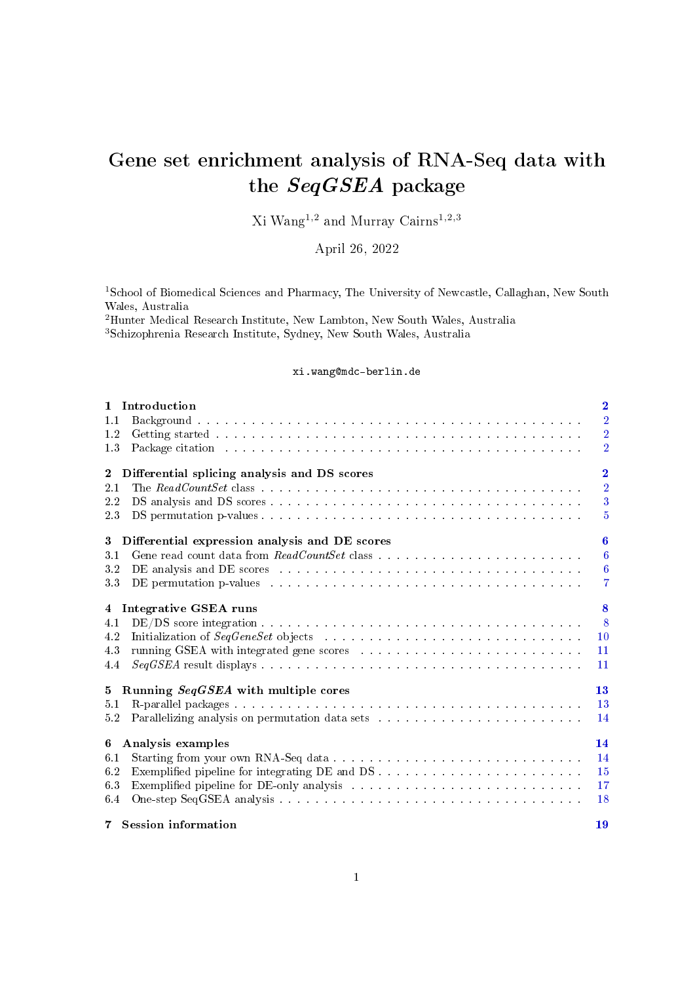# Gene set enrichment analysis of RNA-Seq data with the SeqGSEA package

Xi  $\mathrm{Wang^{1,2}}$  and Murray  $\mathrm{Cairns^{1,2,3}}$ 

April 26, 2022

<sup>1</sup>School of Biomedical Sciences and Pharmacy, The University of Newcastle, Callaghan, New South Wales, Australia

<sup>2</sup>Hunter Medical Research Institute, New Lambton, New South Wales, Australia <sup>3</sup>Schizophrenia Research Institute, Sydney, New South Wales, Australia

#### xi.wang@mdc-berlin.de

| 1 Introduction<br>Background the contract of the contract of the contract of the contract of the contract of<br>1.1<br>1.2<br>1.3<br>Package citation response to the contract of the contract of the contract of the contract of the contract of the contract of the contract of the contract of the contract of the contract of the contract of the contract of t                                                                                                                                                                                       | $\overline{\mathbf{2}}$<br>$\overline{2}$<br>$\overline{2}$<br>$\overline{2}$ |
|-----------------------------------------------------------------------------------------------------------------------------------------------------------------------------------------------------------------------------------------------------------------------------------------------------------------------------------------------------------------------------------------------------------------------------------------------------------------------------------------------------------------------------------------------------------|-------------------------------------------------------------------------------|
| $\overline{2}$<br>Differential splicing analysis and DS scores<br>2.1<br>2.2<br>2.3                                                                                                                                                                                                                                                                                                                                                                                                                                                                       | $\overline{2}$<br>$\overline{2}$<br>$\overline{3}$<br>$\overline{5}$          |
| Differential expression analysis and DE scores<br>3 <sup>1</sup><br>3.1<br>3.2<br>DE analysis and DE scores (a) and a contract of the contract of the contract of the contract of the contract of the contract of the contract of the contract of the contract of the contract of the contract of the contract o<br>DE permutation p-values entering the service of the service of the permutation p-values of the service of the service of the service of the service of the service of the service of the service of the service of the service<br>3.3 | 6<br>$6\phantom{.}6$<br>$\boldsymbol{6}$<br>$\overline{7}$                    |
| Integrative GSEA runs<br>$\overline{4}$<br>4.1<br>4.2<br>4.3<br>4.4                                                                                                                                                                                                                                                                                                                                                                                                                                                                                       | 8<br>8<br>10<br>11<br>11                                                      |
| Running SeqGSEA with multiple cores<br>$5^{\circ}$<br>5.1<br>5.2                                                                                                                                                                                                                                                                                                                                                                                                                                                                                          | 13<br>13<br>14                                                                |
| Analysis examples<br>6<br>6.1<br>6.2<br>6.3<br>6.4<br>7 Session information                                                                                                                                                                                                                                                                                                                                                                                                                                                                               | 14<br>14<br>15<br>17<br>18<br>19                                              |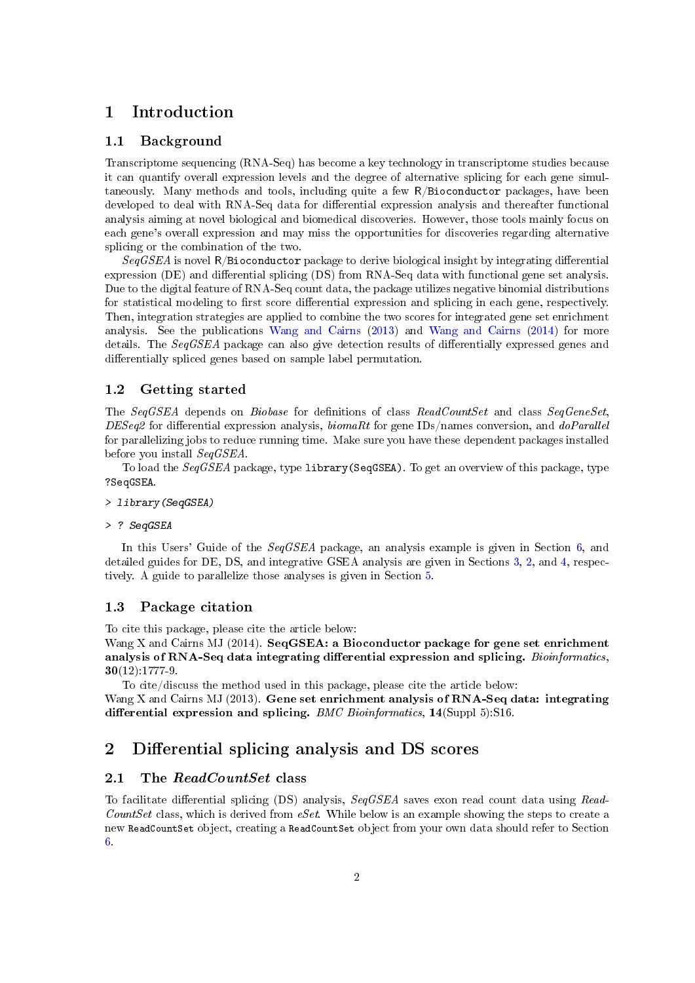# <span id="page-1-0"></span>1 Introduction

### <span id="page-1-1"></span>1.1 Background

Transcriptome sequencing (RNA-Seq) has become a key technology in transcriptome studies because it can quantify overall expression levels and the degree of alternative splicing for each gene simultaneously. Many methods and tools, including quite a few R/Bioconductor packages, have been developed to deal with RNA-Seq data for differential expression analysis and thereafter functional analysis aiming at novel biological and biomedical discoveries. However, those tools mainly focus on each gene's overall expression and may miss the opportunities for discoveries regarding alternative splicing or the combination of the two.

 $SeqGSEA$  is novel R/Bioconductor package to derive biological insight by integrating differential expression (DE) and differential splicing (DS) from RNA-Seq data with functional gene set analysis. Due to the digital feature of RNA-Seq count data, the package utilizes negative binomial distributions for statistical modeling to first score differential expression and splicing in each gene, respectively. Then, integration strategies are applied to combine the two scores for integrated gene set enrichment analysis. See the publications [Wang and Cairns](#page-19-0) [\(2013\)](#page-19-0) and [Wang and Cairns](#page-19-1) [\(2014\)](#page-19-1) for more details. The  $SeqGSEA$  package can also give detection results of differentially expressed genes and differentially spliced genes based on sample label permutation.

### <span id="page-1-2"></span>1.2 Getting started

The SeqGSEA depends on Biobase for definitions of class ReadCountSet and class SeqGeneSet,  $DESeq2$  for differential expression analysis, *biomaRt* for gene IDs/names conversion, and *doParallel* for parallelizing jobs to reduce running time. Make sure you have these dependent packages installed before you install SeqGSEA.

To load the SeqGSEA package, type library(SeqGSEA). To get an overview of this package, type ?SeqGSEA.

- > library(SeqGSEA)
- > ? SeqGSEA

In this Users' Guide of the SeqGSEA package, an analysis example is given in Section [6,](#page-13-1) and detailed guides for DE, DS, and integrative GSEA analysis are given in Sections [3,](#page-5-0) [2,](#page-1-4) and [4,](#page-7-0) respectively. A guide to parallelize those analyses is given in Section [5.](#page-12-0)

### <span id="page-1-3"></span>1.3 Package citation

To cite this package, please cite the article below:

Wang X and Cairns MJ (2014). SeqGSEA: a Bioconductor package for gene set enrichment analysis of RNA-Seq data integrating differential expression and splicing. Bioinformatics, 30(12):1777-9.

To cite/discuss the method used in this package, please cite the article below:

Wang X and Cairns MJ (2013). Gene set enrichment analysis of RNA-Seq data: integrating differential expression and splicing. BMC Bioinformatics,  $14(Suppl 5)$ :S16.

# <span id="page-1-4"></span>2 Differential splicing analysis and DS scores

# <span id="page-1-5"></span>2.1 The ReadCountSet class

To facilitate differential splicing (DS) analysis, SeqGSEA saves exon read count data using Read-CountSet class, which is derived from  $eSet$ . While below is an example showing the steps to create a new ReadCountSet object, creating a ReadCountSet object from your own data should refer to Section [6.](#page-13-1)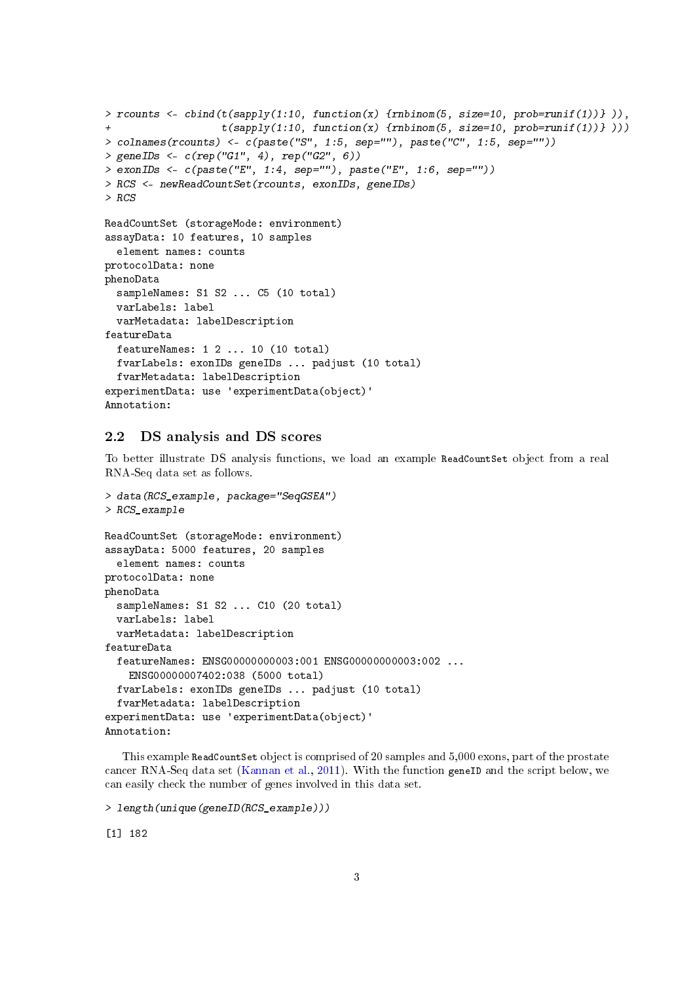```
> rcounts <- cbind(t(sapply(1:10, function(x) {rnbinom(5, size=10, prob=runif(1))} )),
                   t(sapply(1:10, function(x) {rnbinom(5, size=10, prob=runif(1))} )))
> colnames(rcounts) <- c(paste("S", 1:5, sep=""), paste("C", 1:5, sep=""))
> geneIDs <- c(rep("G1", 4), rep("G2", 6))
> exonIDs <- c(paste("E", 1:4, sep=""), paste("E", 1:6, sep=""))
> RCS <- newReadCountSet(rcounts, exonIDs, geneIDs)
> RCS
ReadCountSet (storageMode: environment)
assayData: 10 features, 10 samples
  element names: counts
protocolData: none
phenoData
  sampleNames: S1 S2 ... C5 (10 total)
  varLabels: label
  varMetadata: labelDescription
featureData
  featureNames: 1 2 ... 10 (10 total)
  fvarLabels: exonIDs geneIDs ... padjust (10 total)
  fvarMetadata: labelDescription
experimentData: use 'experimentData(object)'
Annotation:
```
### <span id="page-2-0"></span>2.2 DS analysis and DS scores

To better illustrate DS analysis functions, we load an example ReadCountSet object from a real RNA-Seq data set as follows.

```
> data(RCS_example, package="SeqGSEA")
> RCS_example
ReadCountSet (storageMode: environment)
assayData: 5000 features, 20 samples
  element names: counts
protocolData: none
phenoData
 sampleNames: S1 S2 ... C10 (20 total)
 varLabels: label
 varMetadata: labelDescription
featureData
 featureNames: ENSG00000000003:001 ENSG00000000003:002 ...
    ENSG00000007402:038 (5000 total)
 fvarLabels: exonIDs geneIDs ... padjust (10 total)
 fvarMetadata: labelDescription
experimentData: use 'experimentData(object)'
Annotation:
```
This example ReadCountSet object is comprised of 20 samples and 5,000 exons, part of the prostate cancer RNA-Seq data set [\(Kannan et al.,](#page-19-2) [2011\)](#page-19-2). With the function geneID and the script below, we can easily check the number of genes involved in this data set.

```
> length(unique(geneID(RCS_example)))
```
[1] 182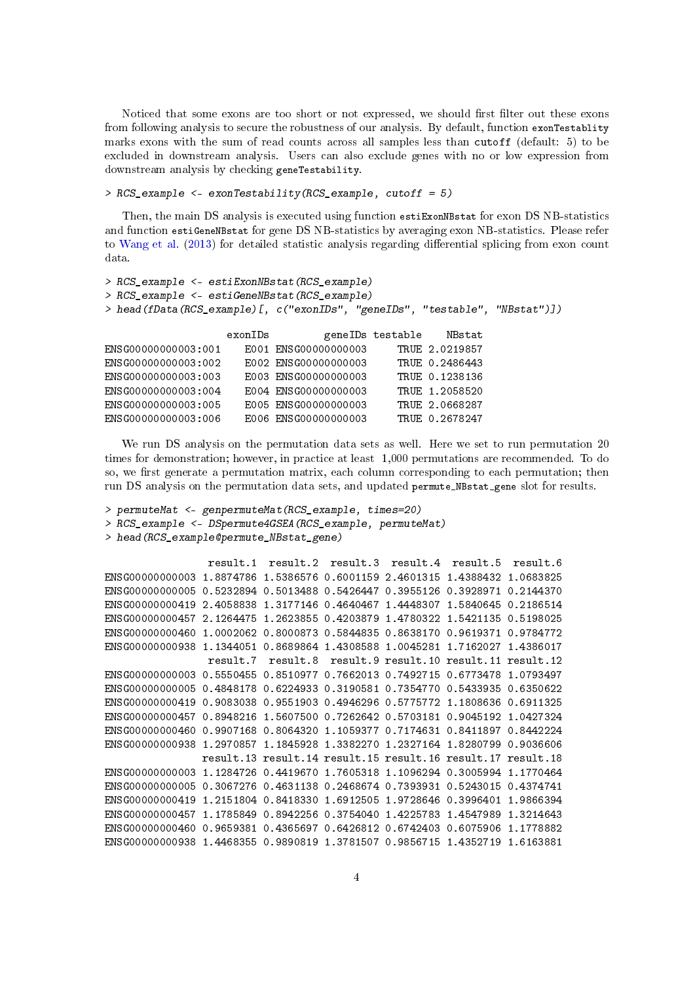Noticed that some exons are too short or not expressed, we should first filter out these exons from following analysis to secure the robustness of our analysis. By default, function exonTestablity marks exons with the sum of read counts across all samples less than cutoff (default: 5) to be excluded in downstream analysis. Users can also exclude genes with no or low expression from downstream analysis by checking geneTestability.

#### > RCS\_example <- exonTestability(RCS\_example, cutoff = 5)

Then, the main DS analysis is executed using function estiExonMBstat for exon DS NB-statistics and function estiGeneNBstat for gene DS NB-statistics by averaging exon NB-statistics. Please refer to [Wang et al.](#page-19-3) [\(2013\)](#page-19-3) for detailed statistic analysis regarding differential splicing from exon count data.

```
> RCS example <- estiExonNBstat(RCS example)
> RCS_example <- estiGeneNBstat(RCS_example)
> head(fData(RCS_example)[, c("exonIDs", "geneIDs", "testable", "NBstat")])
                  exonIDs geneIDs testable NBstat
ENSG00000000003:001 E001 ENSG00000000003 TRUE 2.0219857
ENSG00000000003:002 E002 ENSG00000000003 TRUE 0.2486443
ENSG00000000003:003 E003 ENSG00000000003 TRUE 0.1238136
ENSG00000000003:004 E004 ENSG00000000003 TRUE 1.2058520
ENSG00000000003:005 E005 ENSG00000000003 TRUE 2.0668287
ENSG00000000003:006 E006 ENSG00000000003 TRUE 0.2678247
```
We run DS analysis on the permutation data sets as well. Here we set to run permutation 20 times for demonstration; however, in practice at least 1,000 permutations are recommended. To do so, we first generate a permutation matrix, each column corresponding to each permutation; then run DS analysis on the permutation data sets, and updated permute\_NBstat\_gene slot for results.

```
> permuteMat <- genpermuteMat(RCS_example, times=20)
```

```
> RCS_example <- DSpermute4GSEA(RCS_example, permuteMat)
```

```
> head(RCS_example@permute_NBstat_gene)
```

```
result.1 result.2 result.3 result.4 result.5 result.6
ENSG00000000003 1.8874786 1.5386576 0.6001159 2.4601315 1.4388432 1.0683825
ENSG00000000005 0.5232894 0.5013488 0.5426447 0.3955126 0.3928971 0.2144370
ENSG00000000419 2.4058838 1.3177146 0.4640467 1.4448307 1.5840645 0.2186514
ENSG00000000457 2.1264475 1.2623855 0.4203879 1.4780322 1.5421135 0.5198025
ENSG00000000460 1.0002062 0.8000873 0.5844835 0.8638170 0.9619371 0.9784772
ENSG00000000938 1.1344051 0.8689864 1.4308588 1.0045281 1.7162027 1.4386017
                 result.7 result.8 result.9 result.10 result.11 result.12
ENSG00000000003 0.5550455 0.8510977 0.7662013 0.7492715 0.6773478 1.0793497
ENSG00000000005 0.4848178 0.6224933 0.3190581 0.7354770 0.5433935 0.6350622
ENSG00000000419 0.9083038 0.9551903 0.4946296 0.5775772 1.1808636 0.6911325
ENSG00000000457 0.8948216 1.5607500 0.7262642 0.5703181 0.9045192 1.0427324
ENSG00000000460 0.9907168 0.8064320 1.1059377 0.7174631 0.8411897 0.8442224
ENSG00000000938 1.2970857 1.1845928 1.3382270 1.2327164 1.8280799 0.9036606
               result.13 result.14 result.15 result.16 result.17 result.18
ENSG00000000003 1.1284726 0.4419670 1.7605318 1.1096294 0.3005994 1.1770464
ENSG00000000005 0.3067276 0.4631138 0.2468674 0.7393931 0.5243015 0.4374741
ENSG00000000419 1.2151804 0.8418330 1.6912505 1.9728646 0.3996401 1.9866394
ENSG00000000457 1.1785849 0.8942256 0.3754040 1.4225783 1.4547989 1.3214643
ENSG00000000460 0.9659381 0.4365697 0.6426812 0.6742403 0.6075906 1.1778882
ENSG00000000938 1.4468355 0.9890819 1.3781507 0.9856715 1.4352719 1.6163881
```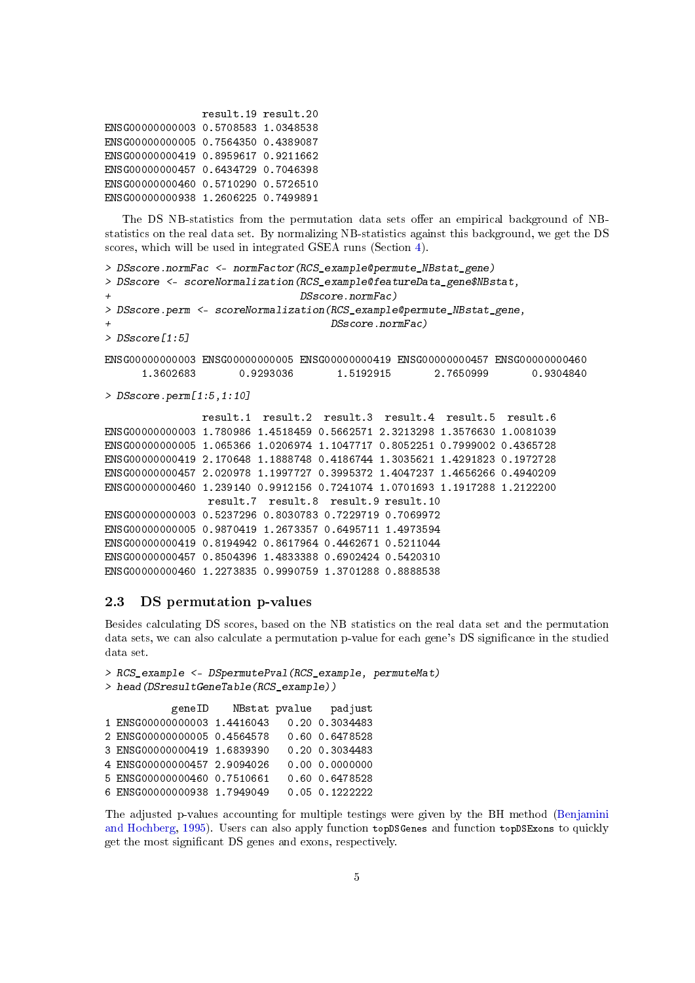```
result.19 result.20
ENSG00000000003 0.5708583 1.0348538
ENSG00000000005 0.7564350 0.4389087
ENSG00000000419 0.8959617 0.9211662
ENSG00000000457 0.6434729 0.7046398
ENSG00000000460 0.5710290 0.5726510
ENSG00000000938 1.2606225 0.7499891
```
The DS NB-statistics from the permutation data sets offer an empirical background of NBstatistics on the real data set. By normalizing NB-statistics against this background, we get the DS scores, which will be used in integrated GSEA runs (Section [4\)](#page-7-0).

```
> DSscore.normFac <- normFactor(RCS_example@permute_NBstat_gene)
> DSscore <- scoreNormalization(RCS_example@featureData_gene$NBstat,
+ DSscore.normFac)
> DSscore.perm <- scoreNormalization(RCS_example@permute_NBstat_gene,
                                   DSscore.normFac)
> DSscore[1:5]
ENSG00000000003 ENSG00000000005 ENSG00000000419 ENSG00000000457 ENSG00000000460
     1.3602683 0.9293036 1.5192915 2.7650999 0.9304840
> DSscore.perm[1:5,1:10]
               result.1 result.2 result.3 result.4 result.5 result.6
ENSG00000000003 1.780986 1.4518459 0.5662571 2.3213298 1.3576630 1.0081039
ENSG00000000005 1.065366 1.0206974 1.1047717 0.8052251 0.7999002 0.4365728
ENSG00000000419 2.170648 1.1888748 0.4186744 1.3035621 1.4291823 0.1972728
ENSG00000000457 2.020978 1.1997727 0.3995372 1.4047237 1.4656266 0.4940209
ENSG00000000460 1.239140 0.9912156 0.7241074 1.0701693 1.1917288 1.2122200
               result.7 result.8 result.9 result.10
ENSG00000000003 0.5237296 0.8030783 0.7229719 0.7069972
ENSG00000000005 0.9870419 1.2673357 0.6495711 1.4973594
ENSG00000000419 0.8194942 0.8617964 0.4462671 0.5211044
ENSG00000000457 0.8504396 1.4833388 0.6902424 0.5420310
ENSG00000000460 1.2273835 0.9990759 1.3701288 0.8888538
```
### <span id="page-4-0"></span>2.3 DS permutation p-values

Besides calculating DS scores, based on the NB statistics on the real data set and the permutation data sets, we can also calculate a permutation p-value for each gene's DS signicance in the studied data set.

```
> RCS_example <- DSpermutePval(RCS_example, permuteMat)
> head(DSresultGeneTable(RCS_example))
          geneID NBstat pvalue padjust
1 ENSG00000000003 1.4416043 0.20 0.3034483
2 ENSG00000000005 0.4564578 0.60 0.6478528
3 ENSG00000000419 1.6839390 0.20 0.3034483
4 ENSG00000000457 2.9094026 0.00 0.0000000
5 ENSG00000000460 0.7510661 0.60 0.6478528
6 ENSG00000000938 1.7949049 0.05 0.1222222
```
The adjusted p-values accounting for multiple testings were given by the BH method [\(Benjamini](#page-19-4) [and Hochberg,](#page-19-4) [1995\)](#page-19-4). Users can also apply function topDSGenes and function topDSExons to quickly get the most signicant DS genes and exons, respectively.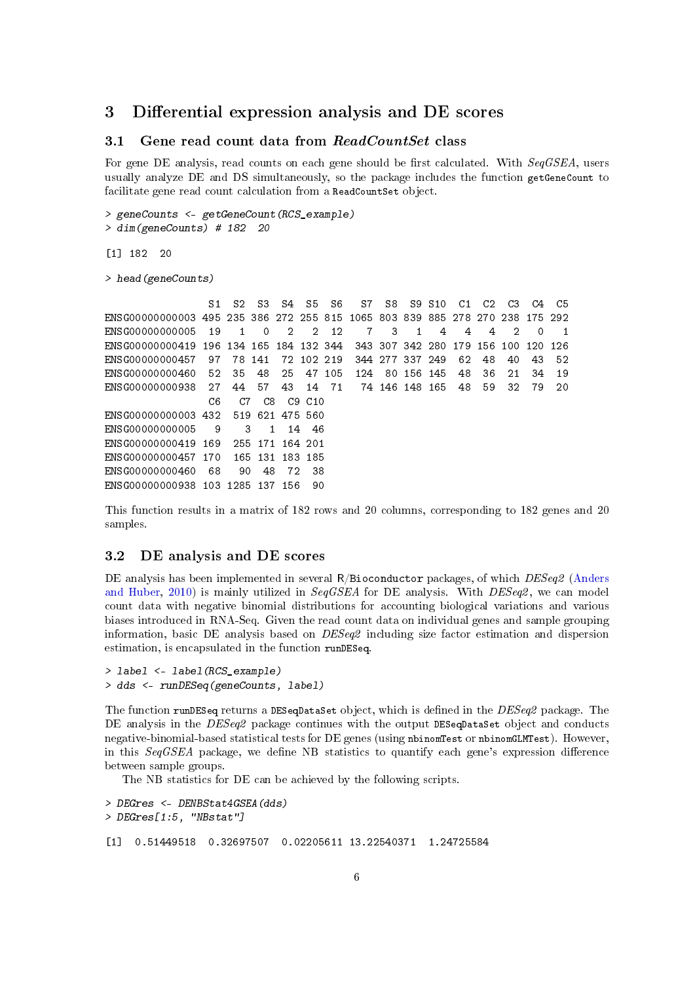# <span id="page-5-0"></span>3 Differential expression analysis and DE scores

# <span id="page-5-1"></span>3.1 Gene read count data from  $ReadCountSet$  class

For gene DE analysis, read counts on each gene should be first calculated. With  $SeqGSEA$ , users usually analyze DE and DS simultaneously, so the package includes the function getGeneCount to facilitate gene read count calculation from a ReadCountSet object.

```
> geneCounts <- getGeneCount(RCS_example)
```

```
> dim(geneCounts) # 182 20
```
[1] 182 20

> head(geneCounts)

S1 S2 S3 S4 S5 S6 S7 S8 S9 S10 C1 C2 C3 C4 C5 ENSG00000000003 495 235 386 272 255 815 1065 803 839 885 278 270 238 175 292 ENSG00000000005 19 1 0 2 2 12 7 3 1 4 4 4 2 0 1 ENSG00000000419 196 134 165 184 132 344 343 307 342 280 179 156 100 120 126 ENSG00000000457 97 78 141 72 102 219 344 277 337 249 62 48 40 43 52 ENSG00000000460 52 35 48 25 47 105 124 80 156 145 48 36 21 34 19 ENSG00000000938 27 44 57 43 14 71 74 146 148 165 48 59 32 79 20 C6 C7 C8 C9 C10 ENSG00000000003 432 519 621 475 560 ENSG00000000005 9 3 1 14 46 ENSG00000000419 169 255 171 164 201 ENSG00000000457 170 165 131 183 185 ENSG00000000460 68 90 48 72 38 ENSG00000000938 103 1285 137 156 90

This function results in a matrix of 182 rows and 20 columns, corresponding to 182 genes and 20 samples.

# <span id="page-5-2"></span>3.2 DE analysis and DE scores

DE analysis has been implemented in several R/Bioconductor packages, of which DESeq2 [\(Anders](#page-19-5) [and Huber,](#page-19-5) [2010\)](#page-19-5) is mainly utilized in  $SeqGSEA$  for DE analysis. With  $DESeq2$ , we can model count data with negative binomial distributions for accounting biological variations and various biases introduced in RNA-Seq. Given the read count data on individual genes and sample grouping information, basic DE analysis based on DESeq2 including size factor estimation and dispersion estimation, is encapsulated in the function runDESeq.

```
> label <- label(RCS_example)
> dds <- runDESeq(geneCounts, label)
```
The function runDESeq returns a DESeqDataSet object, which is defined in the  $DESeq2$  package. The DE analysis in the DESeq2 package continues with the output DESeqDataSet object and conducts negative-binomial-based statistical tests for DE genes (using nbinomTest or nbinomGLMTest). However, in this  $SeqGSEA$  package, we define NB statistics to quantify each gene's expression difference between sample groups.

The NB statistics for DE can be achieved by the following scripts.

```
> DEGres <- DENBStat4GSEA(dds)
> DEGres[1:5, "NBstat"]
[1] 0.51449518 0.32697507 0.02205611 13.22540371 1.24725584
```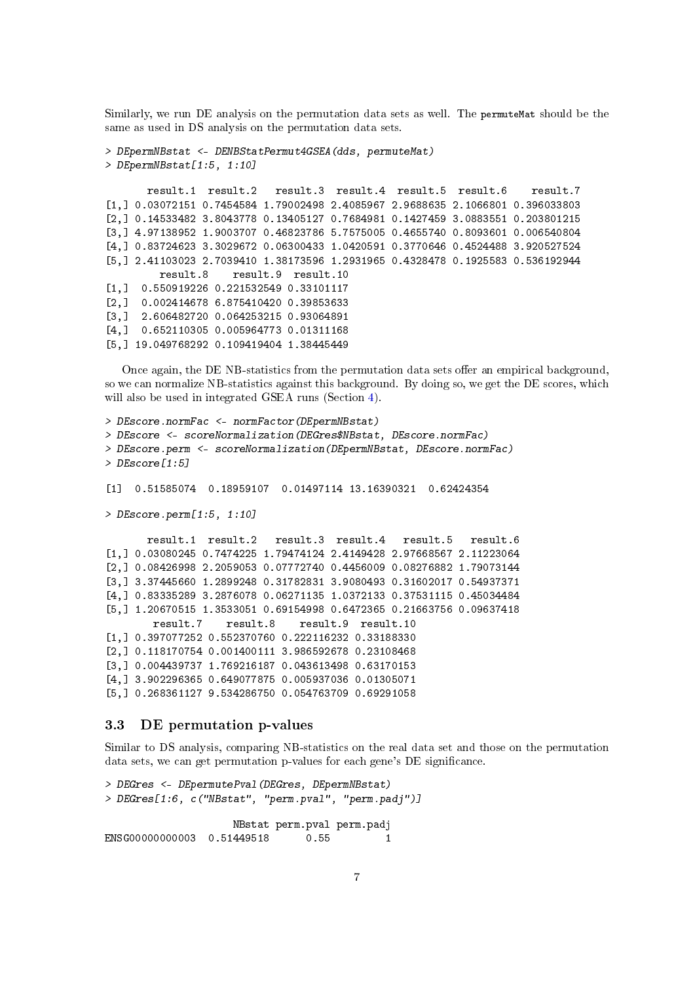Similarly, we run DE analysis on the permutation data sets as well. The permuteMat should be the same as used in DS analysis on the permutation data sets.

```
> DEpermNBstat <- DENBStatPermut4GSEA(dds, permuteMat)
> DEpermNBstat[1:5, 1:10]
      result.1 result.2 result.3 result.4 result.5 result.6 result.7
[1,] 0.03072151 0.7454584 1.79002498 2.4085967 2.9688635 2.1066801 0.396033803
[2,] 0.14533482 3.8043778 0.13405127 0.7684981 0.1427459 3.0883551 0.203801215
[3,] 4.97138952 1.9003707 0.46823786 5.7575005 0.4655740 0.8093601 0.006540804
[4,] 0.83724623 3.3029672 0.06300433 1.0420591 0.3770646 0.4524488 3.920527524
[5,] 2.41103023 2.7039410 1.38173596 1.2931965 0.4328478 0.1925583 0.536192944
        result.8 result.9 result.10
[1,] 0.550919226 0.221532549 0.33101117
[2,] 0.002414678 6.875410420 0.39853633
[3,] 2.606482720 0.064253215 0.93064891
[4,] 0.652110305 0.005964773 0.01311168
[5,] 19.049768292 0.109419404 1.38445449
```
Once again, the DE NB-statistics from the permutation data sets offer an empirical background, so we can normalize NB-statistics against this background. By doing so, we get the DE scores, which will also be used in integrated GSEA runs (Section [4\)](#page-7-0).

```
> DEscore.normFac <- normFactor(DEpermNBstat)
> DEscore <- scoreNormalization(DEGres$NBstat, DEscore.normFac)
> DEscore.perm <- scoreNormalization(DEpermNBstat, DEscore.normFac)
> DEscore[1:5]
[1] 0.51585074 0.18959107 0.01497114 13.16390321 0.62424354
> DEscore.perm[1:5, 1:10]
      result.1 result.2 result.3 result.4 result.5 result.6
[1,] 0.03080245 0.7474225 1.79474124 2.4149428 2.97668567 2.11223064
[2,] 0.08426998 2.2059053 0.07772740 0.4456009 0.08276882 1.79073144
[3,] 3.37445660 1.2899248 0.31782831 3.9080493 0.31602017 0.54937371
[4,] 0.83335289 3.2876078 0.06271135 1.0372133 0.37531115 0.45034484
[5,] 1.20670515 1.3533051 0.69154998 0.6472365 0.21663756 0.09637418
       result.7 result.8 result.9 result.10
[1,] 0.397077252 0.552370760 0.222116232 0.33188330
[2,] 0.118170754 0.001400111 3.986592678 0.23108468
[3,] 0.004439737 1.769216187 0.043613498 0.63170153
[4,] 3.902296365 0.649077875 0.005937036 0.01305071
[5,] 0.268361127 9.534286750 0.054763709 0.69291058
```
# <span id="page-6-0"></span>3.3 DE permutation p-values

Similar to DS analysis, comparing NB-statistics on the real data set and those on the permutation data sets, we can get permutation p-values for each gene's DE significance.

```
> DEGres <- DEpermutePval(DEGres, DEpermNBstat)
> DEGres[1:6, c("NBstat", "perm.pval", "perm.padj")]
                   NBstat perm.pval perm.padj
ENSG00000000003  0.51449518  0.55  1
```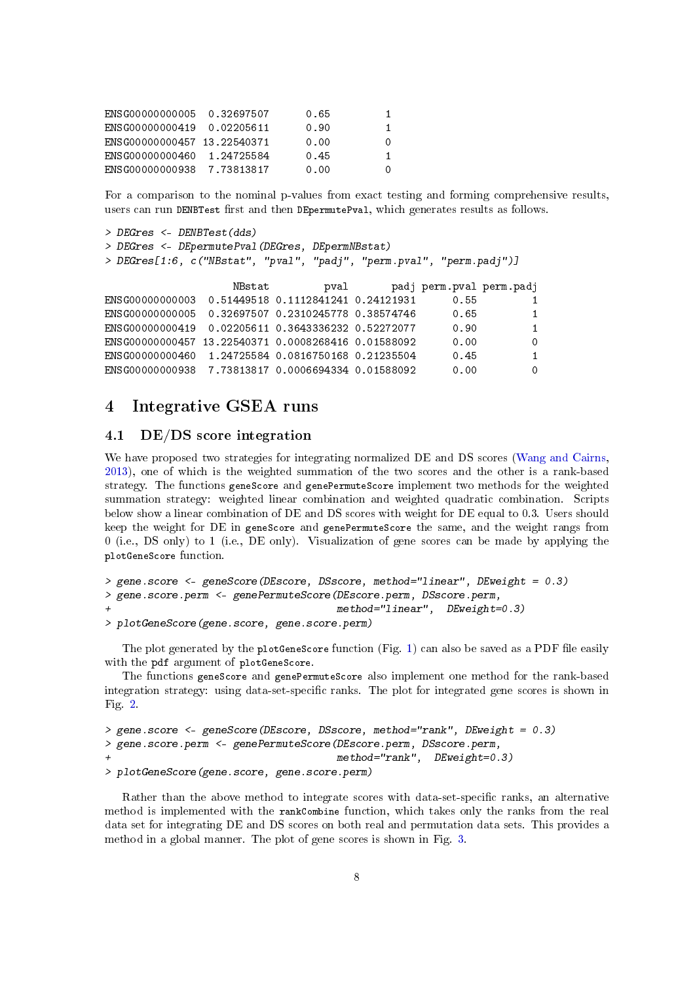| FNSG00000000005 0.32697507  |            | 0.65 |    |
|-----------------------------|------------|------|----|
| ENSG00000000419 0.02205611  |            | 0.90 | 1. |
| FNSG00000000457 13.22540371 |            | 0.00 | O  |
| FNSG00000000460             | 1.24725584 | 0.45 | 1  |
| FNSG00000000938             | 7.73813817 | 0.00 | Ω  |

For a comparison to the nominal p-values from exact testing and forming comprehensive results, users can run DENBTest first and then DEpermutePval, which generates results as follows.

```
> DEGres <- DENBTest(dds)
> DEGres <- DEpermutePval(DEGres, DEpermNBstat)
```
> DEGres[1:6, c("NBstat", "pval", "padj", "perm.pval", "perm.padj")]

|                                                       | NBstat | pval | padj perm.pval perm.padj |              |
|-------------------------------------------------------|--------|------|--------------------------|--------------|
| ENSG00000000003  0.51449518  0.1112841241  0.24121931 |        |      | 0.55                     | $\mathbf{1}$ |
| ENSG00000000005  0.32697507  0.2310245778  0.38574746 |        |      | 0.65                     | 1            |
| ENSG00000000419  0.02205611  0.3643336232  0.52272077 |        |      | 0.90                     | $\mathbf 1$  |
| ENSG00000000457 13.22540371 0.0008268416 0.01588092   |        |      | 0.00                     | $\Omega$     |
| ENSG00000000460 1.24725584 0.0816750168 0.21235504    |        |      | 0.45                     | $\mathbf{1}$ |
| ENSG00000000938 7.73813817 0.0006694334 0.01588092    |        |      | 0.00                     | $\Omega$     |

# <span id="page-7-0"></span>4 Integrative GSEA runs

### <span id="page-7-1"></span>4.1 DE/DS score integration

We have proposed two strategies for integrating normalized DE and DS scores [\(Wang and Cairns,](#page-19-0) [2013\)](#page-19-0), one of which is the weighted summation of the two scores and the other is a rank-based strategy. The functions geneScore and genePermuteScore implement two methods for the weighted summation strategy: weighted linear combination and weighted quadratic combination. Scripts below show a linear combination of DE and DS scores with weight for DE equal to 0.3. Users should keep the weight for DE in geneScore and genePermuteScore the same, and the weight rangs from 0 (i.e., DS only) to 1 (i.e., DE only). Visualization of gene scores can be made by applying the plotGeneScore function.

```
> gene.score <- geneScore(DEscore, DSscore, method="linear", DEweight = 0.3)
> gene.score.perm <- genePermuteScore(DEscore.perm, DSscore.perm,
                                      method="linear", DEweight=0.3)> plotGeneScore(gene.score, gene.score.perm)
```
The plot generated by the plotGeneScore function (Fig. [1\)](#page-8-0) can also be saved as a PDF file easily with the pdf argument of plotGeneScore.

The functions geneScore and genePermuteScore also implement one method for the rank-based integration strategy: using data-set-specific ranks. The plot for integrated gene scores is shown in Fig. [2.](#page-8-1)

```
> gene.score <- geneScore(DEscore, DSscore, method="rank", DEweight = 0.3)
> gene.score.perm <- genePermuteScore(DEscore.perm, DSscore.perm,
                                      method="rank", DEweight=0.3)> plotGeneScore(gene.score, gene.score.perm)
```
Rather than the above method to integrate scores with data-set-specific ranks, an alternative method is implemented with the rankCombine function, which takes only the ranks from the real data set for integrating DE and DS scores on both real and permutation data sets. This provides a method in a global manner. The plot of gene scores is shown in Fig. [3.](#page-9-1)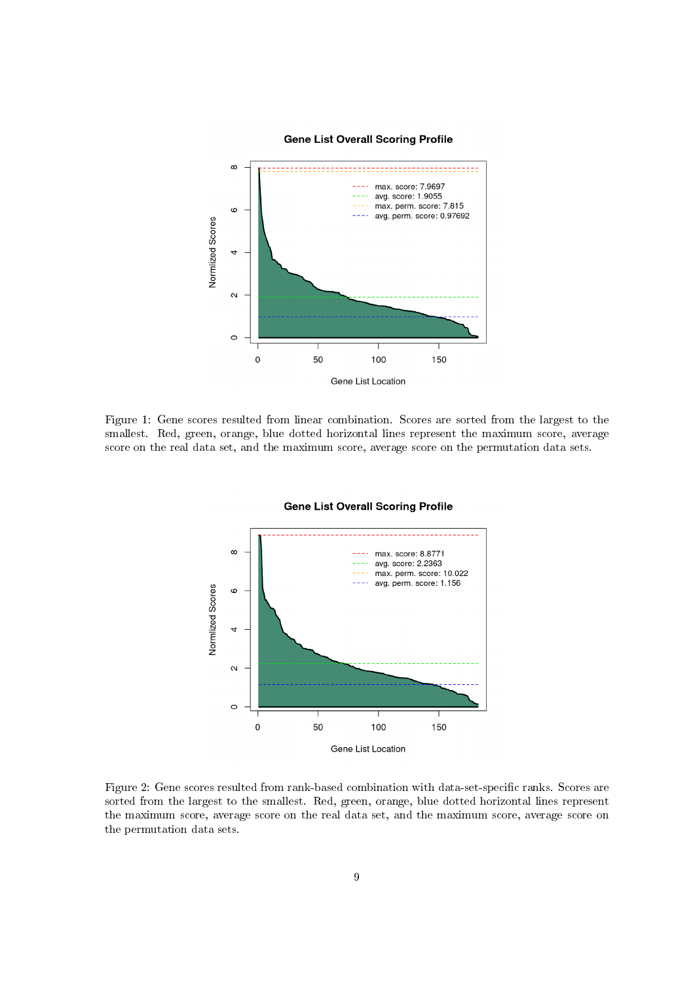#### **Gene List Overall Scoring Profile**



<span id="page-8-0"></span>Figure 1: Gene scores resulted from linear combination. Scores are sorted from the largest to the smallest. Red, green, orange, blue dotted horizontal lines represent the maximum score, average score on the real data set, and the maximum score, average score on the permutation data sets.



#### **Gene List Overall Scoring Profile**

<span id="page-8-1"></span>Figure 2: Gene scores resulted from rank-based combination with data-set-specific ranks. Scores are sorted from the largest to the smallest. Red, green, orange, blue dotted horizontal lines represent the maximum score, average score on the real data set, and the maximum score, average score on the permutation data sets.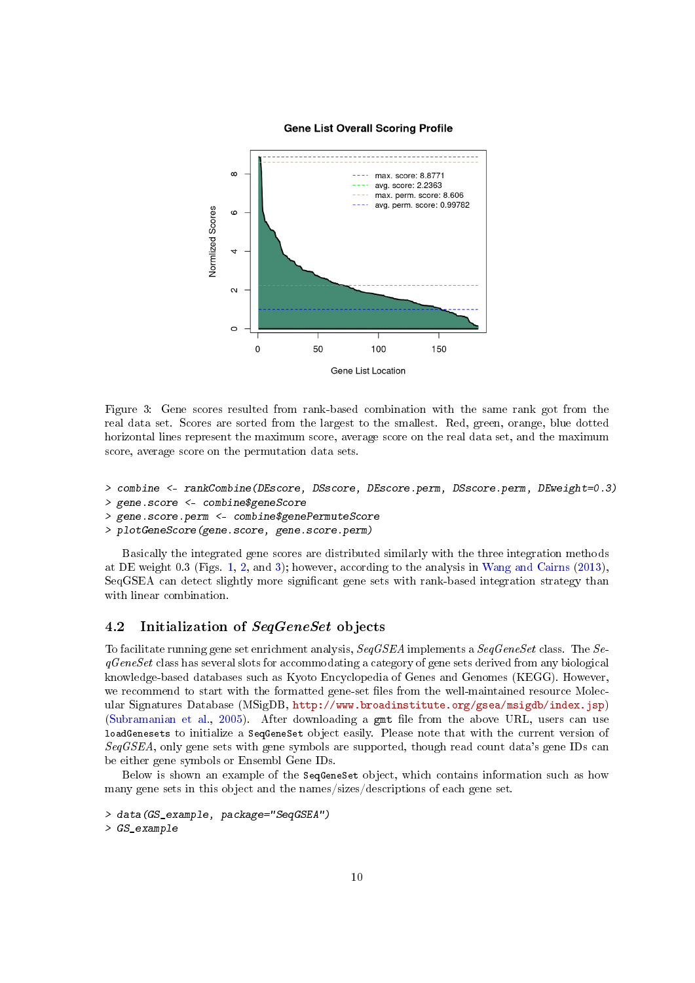#### **Gene List Overall Scoring Profile**



<span id="page-9-1"></span>Figure 3: Gene scores resulted from rank-based combination with the same rank got from the real data set. Scores are sorted from the largest to the smallest. Red, green, orange, blue dotted horizontal lines represent the maximum score, average score on the real data set, and the maximum score, average score on the permutation data sets.

```
> combine <- rankCombine(DEscore, DSscore, DEscore.perm, DSscore.perm, DEweight=0.3)
```

```
> gene.score <- combine$geneScore
```
- > gene.score.perm <- combine\$genePermuteScore
- > plotGeneScore(gene.score, gene.score.perm)

Basically the integrated gene scores are distributed similarly with the three integration methods at DE weight 0.3 (Figs. [1,](#page-8-0) [2,](#page-8-1) and [3\)](#page-9-1); however, according to the analysis in [Wang and Cairns](#page-19-0) [\(2013\)](#page-19-0), SeqGSEA can detect slightly more significant gene sets with rank-based integration strategy than with linear combination.

# <span id="page-9-0"></span>4.2 Initialization of SeqGeneSet objects

To facilitate running gene set enrichment analysis, SegGSEA implements a SegGeneSet class. The SeqGeneSet class has several slots for accommodating a category of gene sets derived from any biological knowledge-based databases such as Kyoto Encyclopedia of Genes and Genomes (KEGG). However, we recommend to start with the formatted gene-set files from the well-maintained resource Molecular Signatures Database (MSigDB, [http://www.broadinstitute.org/gsea/msigdb/index.jsp\)](http://www.broadinstitute.org/gsea/msigdb/index.jsp) [\(Subramanian et al.,](#page-19-6) [2005\)](#page-19-6). After downloading a gmt file from the above URL, users can use loadGenesets to initialize a SeqGeneSet object easily. Please note that with the current version of SeqGSEA, only gene sets with gene symbols are supported, though read count data's gene IDs can be either gene symbols or Ensembl Gene IDs.

Below is shown an example of the SeqGeneSet object, which contains information such as how many gene sets in this object and the names/sizes/descriptions of each gene set.

```
> data(GS_example, package="SeqGSEA")
> GS_example
```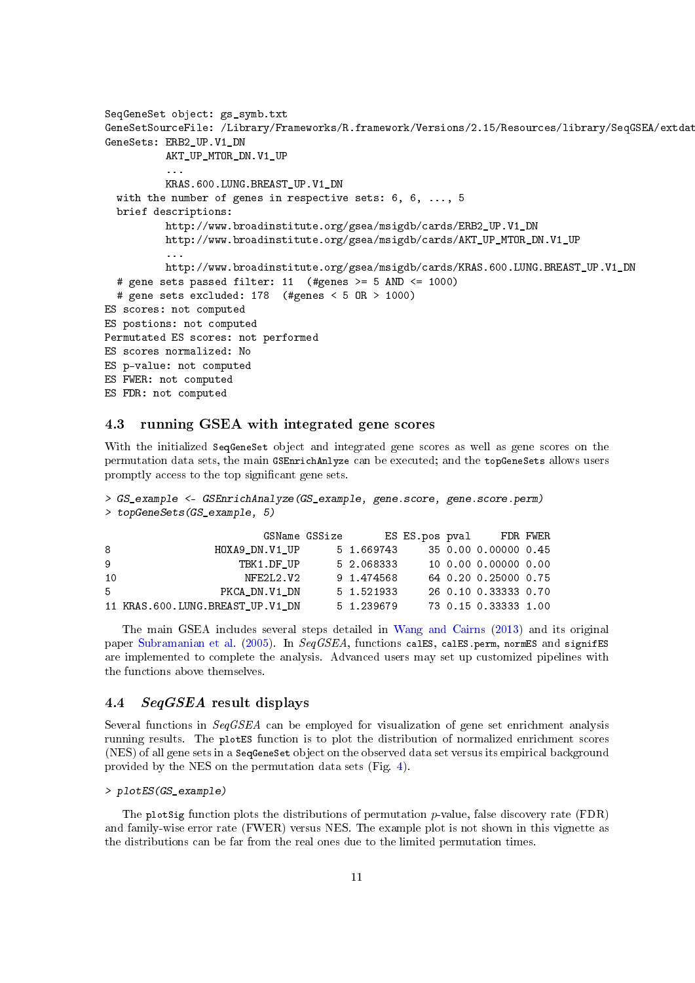```
SeqGeneSet object: gs_symb.txt
GeneSetSourceFile: /Library/Frameworks/R.framework/Versions/2.15/Resources/library/SeqGSEA/extdat
GeneSets: ERB2_UP.V1_DN
          AKT_UP_MTOR_DN.V1_UP
          ...
          KRAS.600.LUNG.BREAST UP.V1 DN
  with the number of genes in respective sets: 6, 6, ..., 5
  brief descriptions:
          http://www.broadinstitute.org/gsea/msigdb/cards/ERB2_UP.V1_DN
          http://www.broadinstitute.org/gsea/msigdb/cards/AKT_UP_MTOR_DN.V1_UP
          ...
          http://www.broadinstitute.org/gsea/msigdb/cards/KRAS.600.LUNG.BREAST_UP.V1_DN
  # gene sets passed filter: 11 (#genes >= 5 AND <= 1000)
  # gene sets excluded: 178 (#genes < 5 OR > 1000)
ES scores: not computed
ES postions: not computed
Permutated ES scores: not performed
ES scores normalized: No
ES p-value: not computed
ES FWER: not computed
ES FDR: not computed
```
#### <span id="page-10-0"></span>4.3 running GSEA with integrated gene scores

With the initialized SeqGeneSet object and integrated gene scores as well as gene scores on the permutation data sets, the main GSEnrichAnlyze can be executed; and the topGeneSets allows users promptly access to the top significant gene sets.

```
> GS_example <- GSEnrichAnalyze(GS_example, gene.score, gene.score.perm)
> topGeneSets(GS_example, 5)
```

|    |                                  | GSName GSSize |            |  | ES ES.pos pval     FDR FWER |  |
|----|----------------------------------|---------------|------------|--|-----------------------------|--|
| 8  | HOXA9 DN.V1 UP                   |               | 5 1.669743 |  | 35 0.00 0.00000 0.45        |  |
| 9  | TBK1.DF UP                       |               | 5 2.068333 |  | 10 0.00 0.00000 0.00        |  |
| 10 | NFE2L2.V2                        |               | 9 1.474568 |  | 64 0.20 0.25000 0.75        |  |
| 5. | PKCA DN.V1 DN                    |               | 5 1.521933 |  | 26 0.10 0.33333 0.70        |  |
|    | 11 KRAS.600.LUNG.BREAST UP.V1 DN |               | 5 1.239679 |  | 73 0.15 0.33333 1.00        |  |

The main GSEA includes several steps detailed in [Wang and Cairns](#page-19-0) [\(2013\)](#page-19-0) and its original paper [Subramanian et al.](#page-19-6) [\(2005\)](#page-19-6). In SeqGSEA, functions calES, calES.perm, normES and signifES are implemented to complete the analysis. Advanced users may set up customized pipelines with the functions above themselves.

# <span id="page-10-1"></span>4.4 SeqGSEA result displays

Several functions in SeqGSEA can be employed for visualization of gene set enrichment analysis running results. The plotES function is to plot the distribution of normalized enrichment scores (NES) of all gene sets in a SeqGeneSet object on the observed data set versus its empirical background provided by the NES on the permutation data sets (Fig. [4\)](#page-11-0).

#### > plotES(GS\_example)

The plotSig function plots the distributions of permutation  $p$ -value, false discovery rate (FDR) and family-wise error rate (FWER) versus NES. The example plot is not shown in this vignette as the distributions can be far from the real ones due to the limited permutation times.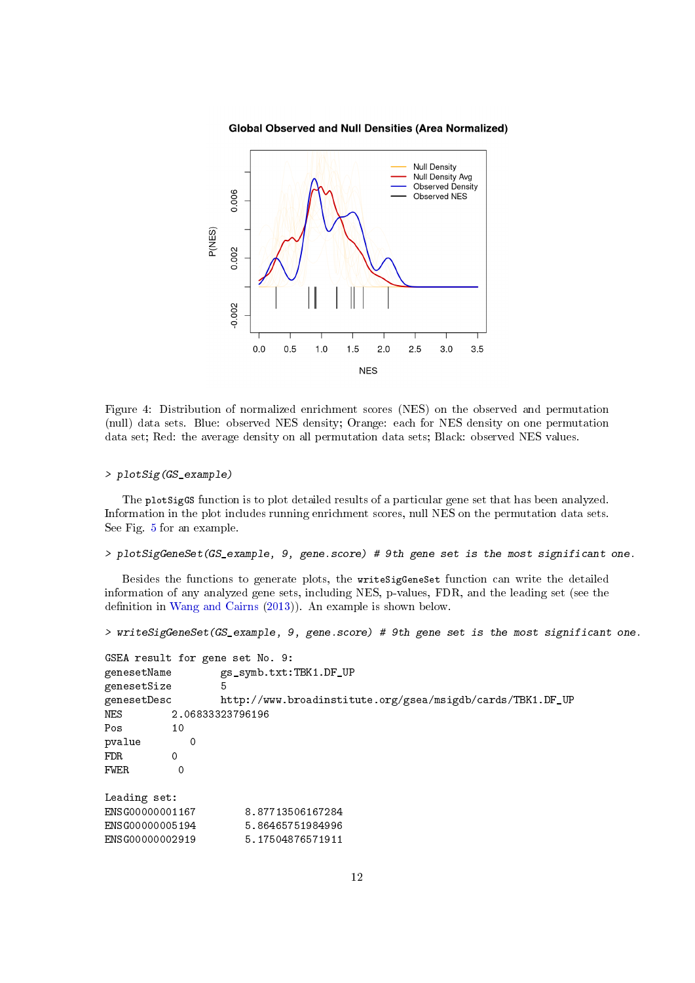**Global Observed and Null Densities (Area Normalized)** 



<span id="page-11-0"></span>Figure 4: Distribution of normalized enrichment scores (NES) on the observed and permutation (null) data sets. Blue: observed NES density; Orange: each for NES density on one permutation data set; Red: the average density on all permutation data sets; Black: observed NES values.

#### > plotSig(GS\_example)

The plotSigGS function is to plot detailed results of a particular gene set that has been analyzed. Information in the plot includes running enrichment scores, null NES on the permutation data sets. See Fig. [5](#page-12-2) for an example.

```
> plotSigGeneSet(GS_example, 9, gene.score) # 9th gene set is the most significant one.
```
Besides the functions to generate plots, the writeSigGeneSet function can write the detailed information of any analyzed gene sets, including NES, p-values, FDR, and the leading set (see the definition in [Wang and Cairns](#page-19-0) [\(2013\)](#page-19-0)). An example is shown below.

> writeSigGeneSet(GS\_example, 9, gene.score) # 9th gene set is the most significant one.

```
GSEA result for gene set No. 9:
genesetName gs_symb.txt:TBK1.DF_UP
genesetSize 5
genesetDesc http://www.broadinstitute.org/gsea/msigdb/cards/TBK1.DF_UP
NES 2.06833323796196
Pos 10
pvalue 0
FDR 0
FWER 0
Leading set:
ENSG00000001167 8.87713506167284
ENSG00000005194 5.86465751984996<br>ENSG00000002919 5.17504876571911
                      ENSG00000002919 5.17504876571911
```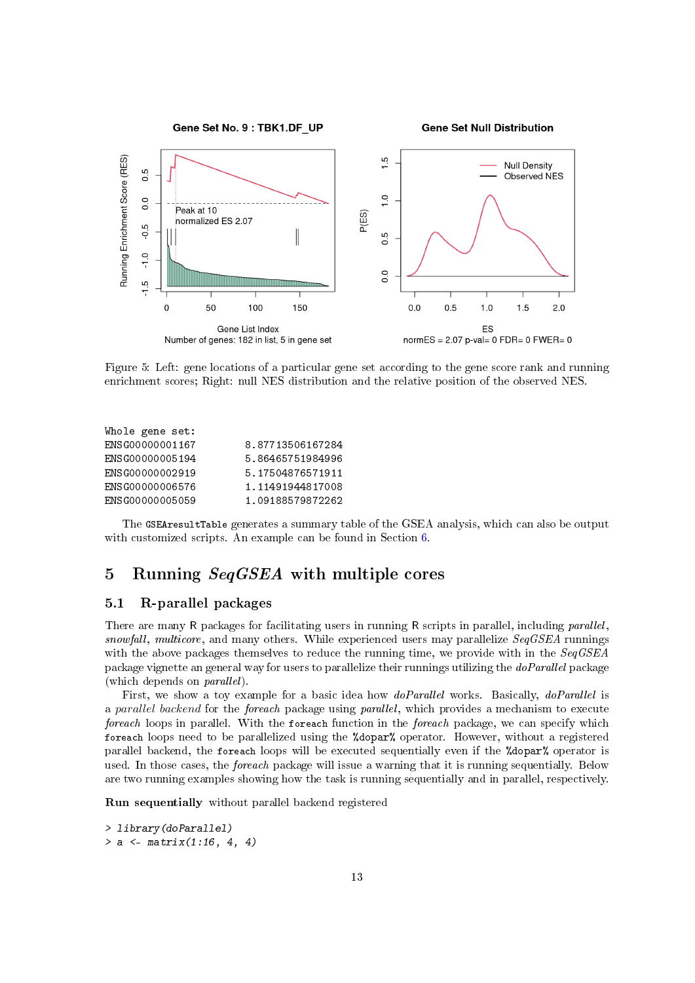

<span id="page-12-2"></span>Figure 5: Left: gene locations of a particular gene set according to the gene score rank and running enrichment scores; Right: null NES distribution and the relative position of the observed NES.

| Whole gene set: |                  |
|-----------------|------------------|
| ENSG00000001167 | 8.87713506167284 |
| ENSG00000005194 | 5.86465751984996 |
| ENSG00000002919 | 5.17504876571911 |
| ENSG00000006576 | 1.11491944817008 |
| ENSG00000005059 | 1.09188579872262 |
|                 |                  |

The GSEAresultTable generates a summary table of the GSEA analysis, which can also be output with customized scripts. An example can be found in Section [6.](#page-13-1)

# <span id="page-12-0"></span>5 Running SeqGSEA with multiple cores

#### <span id="page-12-1"></span>5.1 R-parallel packages

There are many R packages for facilitating users in running R scripts in parallel, including *parallel*, snowfall, multicore, and many others. While experienced users may parallelize  $SeqGSEA$  runnings with the above packages themselves to reduce the running time, we provide with in the  $SegGSEA$ package vignette an general way for users to parallelize their runnings utilizing the doParallel package (which depends on parallel).

First, we show a toy example for a basic idea how *doParallel* works. Basically, *doParallel* is a parallel backend for the foreach package using parallel, which provides a mechanism to execute foreach loops in parallel. With the foreach function in the foreach package, we can specify which foreach loops need to be parallelized using the %dopar% operator. However, without a registered parallel backend, the foreach loops will be executed sequentially even if the %dopar% operator is used. In those cases, the *foreach* package will issue a warning that it is running sequentially. Below are two running examples showing how the task is running sequentially and in parallel, respectively.

Run sequentially without parallel backend registered

```
> library(doParallel)
> a < - matrix(1:16, 4, 4)
```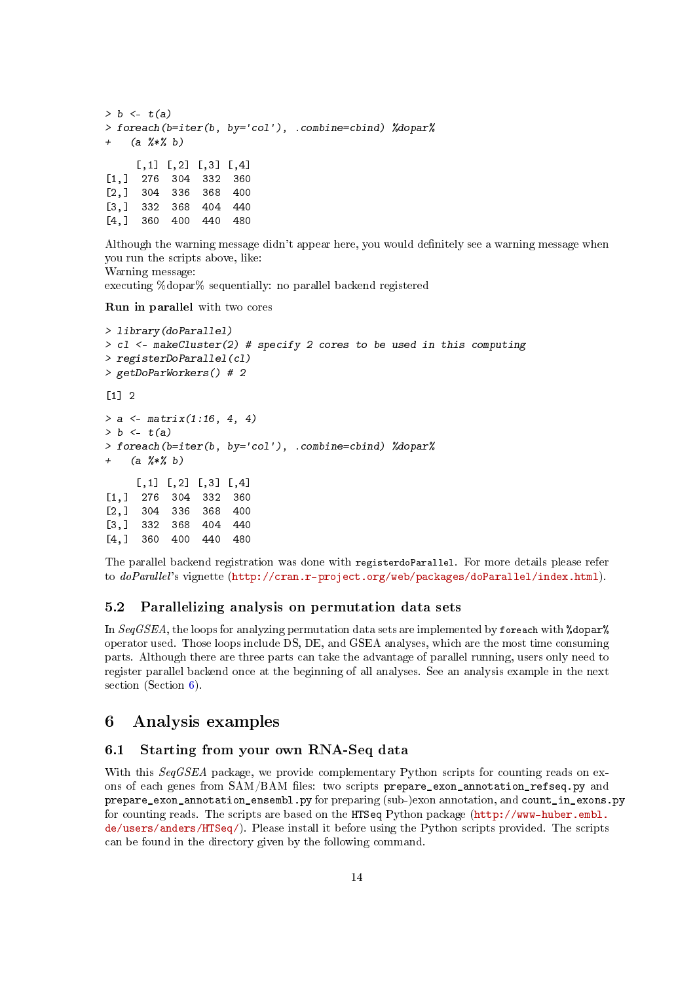```
> b \leq t(a)> foreach(b=iter(b, by='col'), .combine=cbind) %dopar%
    (a \frac{9}{6} * \frac{9}{6} b)[0,1] [0,2] [0,3] [0,4][1,] 276 304 332 360
[2,] 304 336 368 400
[3,] 332 368 404 440
[4,] 360 400 440 480
```
Although the warning message didn't appear here, you would definitely see a warning message when you run the scripts above, like: Warning message:

executing %dopar% sequentially: no parallel backend registered

Run in parallel with two cores

```
> library(doParallel)
> c1 <- makeCluster(2) # specify 2 cores to be used in this computing
> registerDoParallel(cl)
> getDoParWorkers() # 2
[1] 2
> a < - matrix(1:16, 4, 4)
> b < -t(a)> foreach(b=iter(b, by='col'), .combine=cbind) %dopar%
+ (a %*% b)
     [0,1] [0,2] [0,3] [0,4][1,] 276 304 332 360
[2,] 304 336 368 400
[3,] 332 368 404 440
[4,] 360 400 440 480
```
The parallel backend registration was done with registerdoParallel. For more details please refer to doParallel's vignette [\(http://cran.r-project.org/web/packages/doParallel/index.html\)](http://cran.r-project.org/web/packages/doParallel/index.html).

### <span id="page-13-0"></span>5.2 Parallelizing analysis on permutation data sets

In  $SeqGSEA$ , the loops for analyzing permutation data sets are implemented by foreach with  $%$  dopar $%$ operator used. Those loops include DS, DE, and GSEA analyses, which are the most time consuming parts. Although there are three parts can take the advantage of parallel running, users only need to register parallel backend once at the beginning of all analyses. See an analysis example in the next section (Section [6\)](#page-13-1).

# <span id="page-13-1"></span>6 Analysis examples

# <span id="page-13-2"></span>6.1 Starting from your own RNA-Seq data

With this SeqGSEA package, we provide complementary Python scripts for counting reads on exons of each genes from SAM/BAM files: two scripts prepare\_exon\_annotation\_refseq.py and prepare\_exon\_annotation\_ensembl.py for preparing (sub-)exon annotation, and count\_in\_exons.py for counting reads. The scripts are based on the HTSeq Python package [\(http://www-huber.embl.](http://www-huber.embl.de/users/anders/HTSeq/) [de/users/anders/HTSeq/\)](http://www-huber.embl.de/users/anders/HTSeq/). Please install it before using the Python scripts provided. The scripts can be found in the directory given by the following command.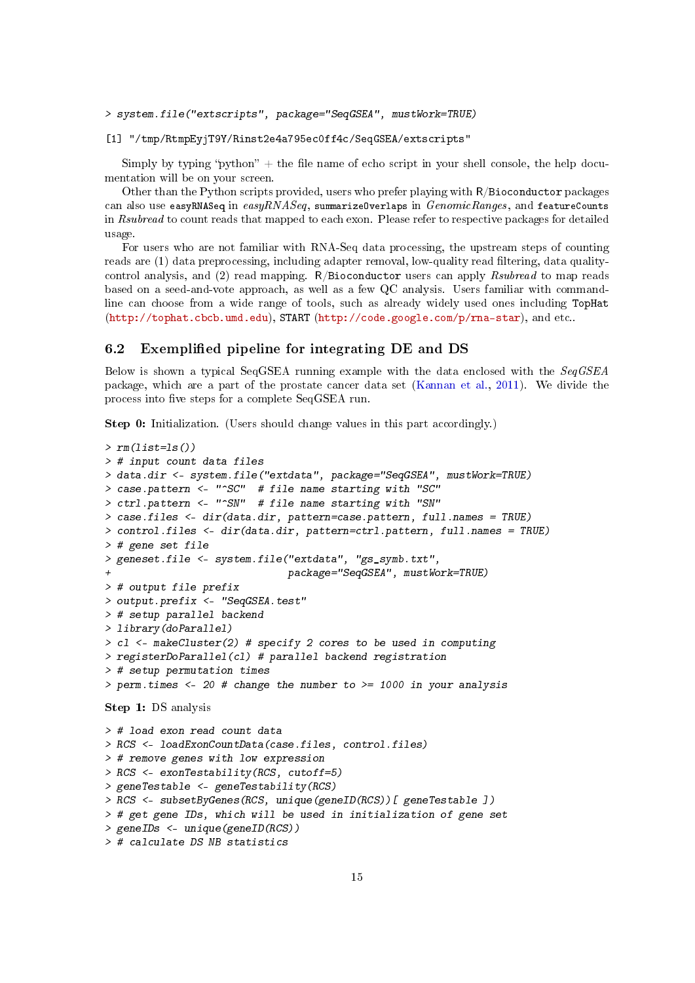> system.file("extscripts", package="SeqGSEA", mustWork=TRUE)

[1] "/tmp/RtmpEyjT9Y/Rinst2e4a795ec0ff4c/SeqGSEA/extscripts"

Simply by typing "python"  $+$  the file name of echo script in your shell console, the help documentation will be on your screen.

Other than the Python scripts provided, users who prefer playing with R/Bioconductor packages can also use easyRNASeq in easyRNASeq, summarizeOverlaps in  $GenomicRange$ , and featureCounts in Rsubread to count reads that mapped to each exon. Please refer to respective packages for detailed usage.

For users who are not familiar with RNA-Seq data processing, the upstream steps of counting reads are (1) data preprocessing, including adapter removal, low-quality read filtering, data qualitycontrol analysis, and (2) read mapping.  $R/B$ ioconductor users can apply  $Rsubread$  to map reads based on a seed-and-vote approach, as well as a few QC analysis. Users familiar with commandline can choose from a wide range of tools, such as already widely used ones including TopHat [\(http://tophat.cbcb.umd.edu\)](http://tophat.cbcb.umd.edu), START [\(http://code.google.com/p/rna-star\)](http://code.google.com/p/rna-star), and etc..

#### <span id="page-14-0"></span>6.2 Exemplified pipeline for integrating DE and DS

Below is shown a typical SeqGSEA running example with the data enclosed with the SeqGSEA package, which are a part of the prostate cancer data set [\(Kannan et al.,](#page-19-2) [2011\)](#page-19-2). We divide the process into five steps for a complete SeqGSEA run.

Step 0: Initialization. (Users should change values in this part accordingly.)

```
> rm(iist=ls())> # input count data files
> data.dir <- system.file("extdata", package="SeqGSEA", mustWork=TRUE)
> case.pattern <- "~SC" # file name starting with "SC"
> ctrl.pattern <- "^SN" # file name starting with "SN"
> case.files <- dir(data.dir, pattern=case.pattern, full.names = TRUE)
> control.files <- dir(data.dir, pattern=ctrl.pattern, full.names = TRUE)
> # gene set file
> geneset.file <- system.file("extdata", "gs_symb.txt",
                              + package="SeqGSEA", mustWork=TRUE)
> # output file prefix
> output.prefix <- "SeqGSEA.test"
> # setup parallel backend
> library(doParallel)
> c1 <- makeCluster(2) # specify 2 cores to be used in computing
> registerDoParallel(cl) # parallel backend registration
> # setup permutation times
> perm.times <- 20 # change the number to >= 1000 in your analysis
Step 1: DS analysis
> # load exon read count data
> RCS <- loadExonCountData(case.files, control.files)
> # remove genes with low expression
> RCS <- exonTestability(RCS, cutoff=5)
> geneTestable <- geneTestability(RCS)
> RCS <- subsetByGenes(RCS, unique(geneID(RCS))[ geneTestable ])
> # get gene IDs, which will be used in initialization of gene set
> geneIDs <- unique(geneID(RCS))
```

```
> # calculate DS NB statistics
```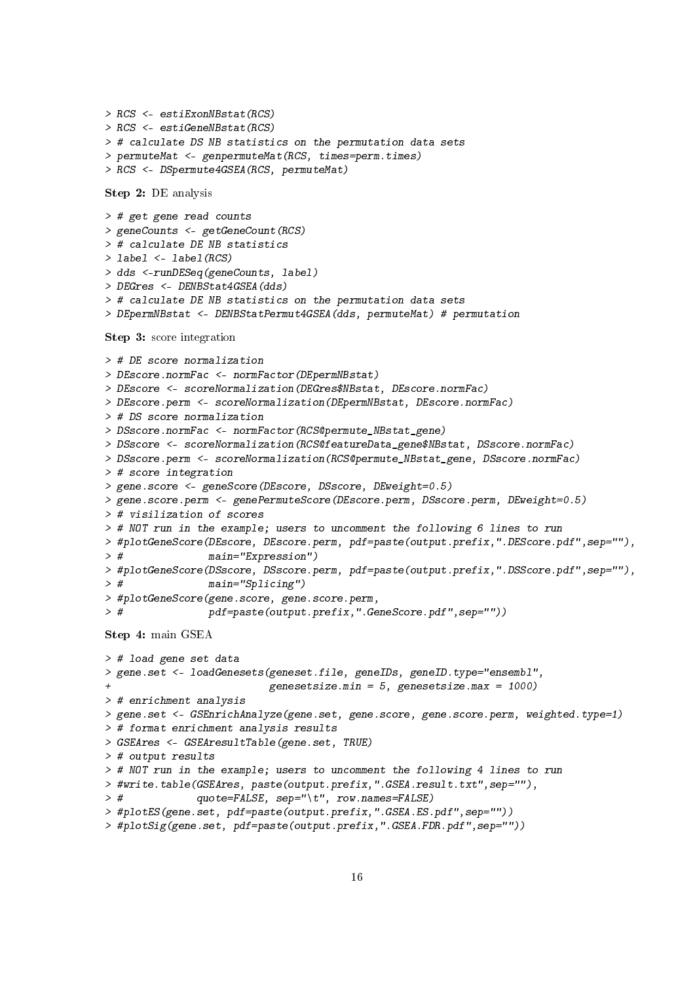```
> RCS <- estiExonNBstat(RCS)
> RCS <- estiGeneNBstat(RCS)
> # calculate DS NB statistics on the permutation data sets
> permuteMat <- genpermuteMat(RCS, times=perm.times)
> RCS <- DSpermute4GSEA(RCS, permuteMat)
Step 2: DE analysis
> # get gene read counts
> geneCounts <- getGeneCount(RCS)
> # calculate DE NB statistics
> label <- label(RCS)
> dds <-runDESeq(geneCounts, label)
> DEGres <- DENBStat4GSEA(dds)
> # calculate DE NB statistics on the permutation data sets
> DEpermNBstat <- DENBStatPermut4GSEA(dds, permuteMat) # permutation
Step 3: score integration
> # DE score normalization
> DEscore.normFac <- normFactor(DEpermNBstat)
> DEscore <- scoreNormalization(DEGres$NBstat, DEscore.normFac)
> DEscore.perm <- scoreNormalization(DEpermNBstat, DEscore.normFac)
> # DS score normalization
> DSscore.normFac <- normFactor(RCS@permute_NBstat_gene)
> DSscore <- scoreNormalization(RCS@featureData_gene$NBstat, DSscore.normFac)
> DSscore.perm <- scoreNormalization(RCS@permute_NBstat_gene, DSscore.normFac)
> # score integration
> gene.score <- geneScore(DEscore, DSscore, DEweight=0.5)
> gene.score.perm <- genePermuteScore(DEscore.perm, DSscore.perm, DEweight=0.5)
> # visilization of scores
> # NOT run in the example; users to uncomment the following 6 lines to run
> #plotGeneScore(DEscore, DEscore.perm, pdf=paste(output.prefix,".DEScore.pdf",sep=""),
> # main="Expression")
> #plotGeneScore(DSscore, DSscore.perm, pdf=paste(output.prefix,".DSScore.pdf",sep=""),
> # main="Splicing")
> #plotGeneScore(gene.score, gene.score.perm,
> # pdf=paste(output.prefix,".GeneScore.pdf",sep=""))
Step 4: main GSEA
> # load gene set data
> gene.set <- loadGenesets(geneset.file, geneIDs, geneID.type="ensembl",
                          genesetsize.min = 5, genesetsize.max = 1000)
> # enrichment analysis
> gene.set <- GSEnrichAnalyze(gene.set, gene.score, gene.score.perm, weighted.type=1)
> # format enrichment analysis results
> GSEAres <- GSEAresultTable(gene.set, TRUE)
> # output results
> # NOT run in the example; users to uncomment the following 4 lines to run
> #write.table(GSEAres, paste(output.prefix,".GSEA.result.txt",sep=""),
> # quote=FALSE, sep="\t", row.names=FALSE)
> #plotES(gene.set, pdf=paste(output.prefix,".GSEA.ES.pdf",sep=""))
```

```
> #plotSig(gene.set, pdf=paste(output.prefix,".GSEA.FDR.pdf",sep=""))
```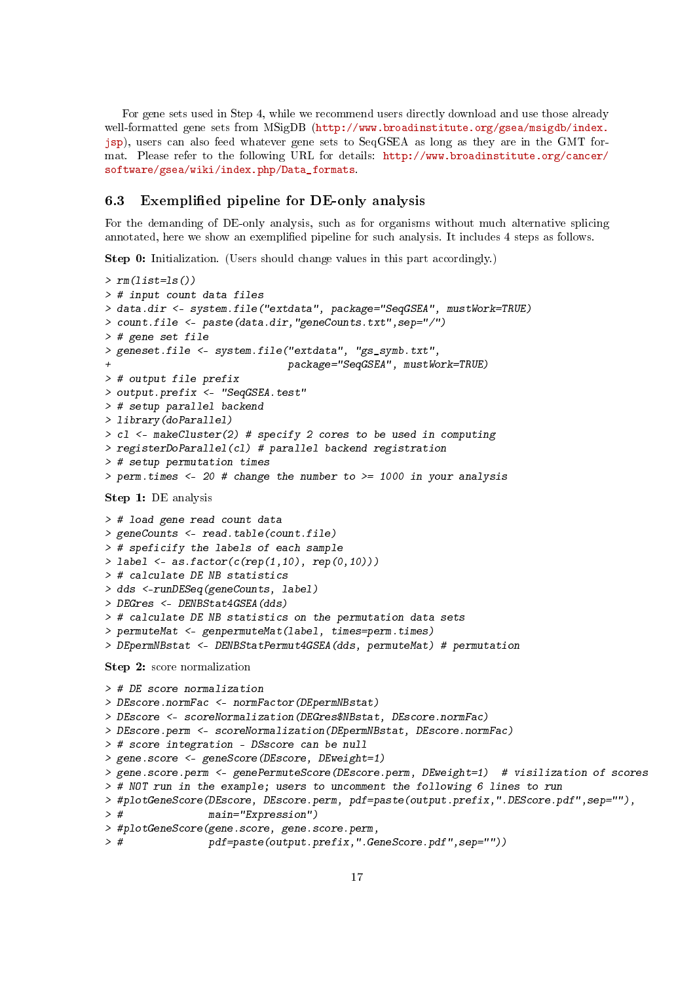For gene sets used in Step 4, while we recommend users directly download and use those already well-formatted gene sets from MSigDB [\(http://www.broadinstitute.org/gsea/msigdb/index.](http://www.broadinstitute.org/gsea/msigdb/index.jsp) [jsp\)](http://www.broadinstitute.org/gsea/msigdb/index.jsp), users can also feed whatever gene sets to SeqGSEA as long as they are in the GMT format. Please refer to the following URL for details: [http://www.broadinstitute.org/cancer/](http://www.broadinstitute.org/cancer/software/gsea/wiki/index.php/Data_formats) [software/gsea/wiki/index.php/Data\\_formats.](http://www.broadinstitute.org/cancer/software/gsea/wiki/index.php/Data_formats)

# <span id="page-16-0"></span>6.3 Exemplified pipeline for DE-only analysis

For the demanding of DE-only analysis, such as for organisms without much alternative splicing annotated, here we show an exemplied pipeline for such analysis. It includes 4 steps as follows.

Step 0: Initialization. (Users should change values in this part accordingly.)

```
> rm(iist=ls())> # input count data files
> data.dir <- system.file("extdata", package="SeqGSEA", mustWork=TRUE)
> count.file <- paste(data.dir,"geneCounts.txt",sep="/")
> # gene set file
> geneset.file <- system.file("extdata", "gs_symb.txt",
                              + package="SeqGSEA", mustWork=TRUE)
> # output file prefix
> output.prefix <- "SeqGSEA.test"
> # setup parallel backend
> library(doParallel)
> c1 <- makeCluster(2) # specify 2 cores to be used in computing
> registerDoParallel(cl) # parallel backend registration
> # setup permutation times
> perm.times <- 20 # change the number to >= 1000 in your analysis
Step 1: DE analysis
> # load gene read count data
> geneCounts <- read.table(count.file)
> # speficify the labels of each sample
> label <- as.factor(c(rep(1,10), rep(0,10)))> # calculate DE NB statistics
> dds <-runDESeq(geneCounts, label)
> DEGres <- DENBStat4GSEA(dds)
> # calculate DE NB statistics on the permutation data sets
> permuteMat <- genpermuteMat(label, times=perm.times)
> DEpermNBstat <- DENBStatPermut4GSEA(dds, permuteMat) # permutation
Step 2: score normalization
> # DE score normalization
> DEscore.normFac <- normFactor(DEpermNBstat)
> DEscore <- scoreNormalization(DEGres$NBstat, DEscore.normFac)
> DEscore.perm <- scoreNormalization(DEpermNBstat, DEscore.normFac)
> # score integration - DSscore can be null
> gene.score <- geneScore(DEscore, DEweight=1)
> gene.score.perm <- genePermuteScore(DEscore.perm, DEweight=1) # visilization of scores
> # NOT run in the example; users to uncomment the following 6 lines to run
> #plotGeneScore(DEscore, DEscore.perm, pdf=paste(output.prefix,".DEScore.pdf",sep=""),
> # main="Expression")
> #plotGeneScore(gene.score, gene.score.perm,
```

```
> # pdf=paste(output.prefix,".GeneScore.pdf",sep=""))
```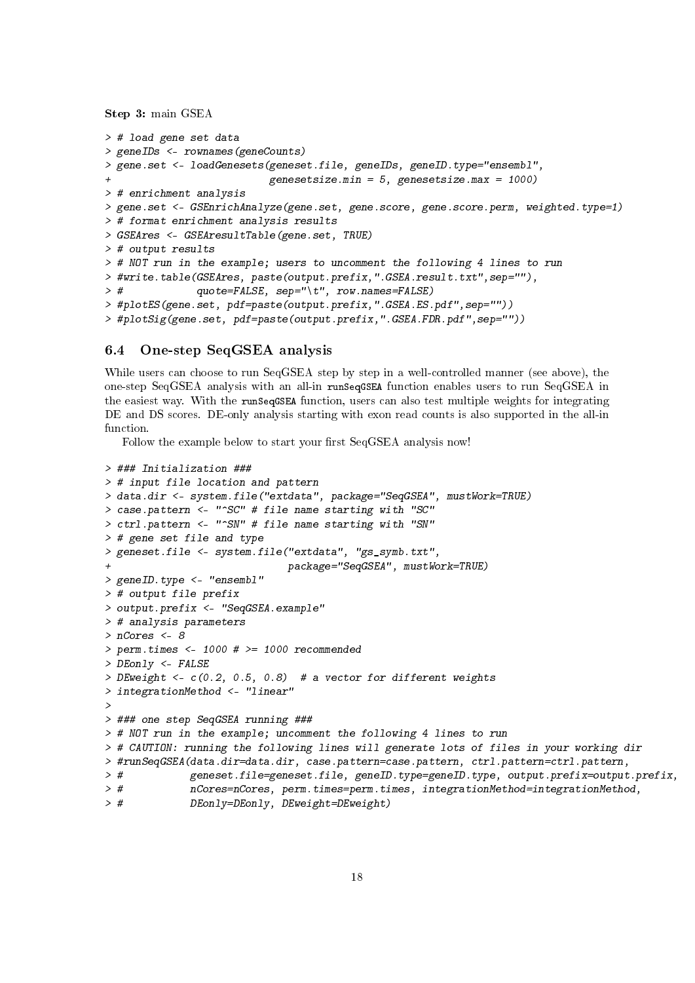Step 3: main GSEA

```
> # load gene set data
> geneIDs <- rownames(geneCounts)
> gene.set <- loadGenesets(geneset.file, geneIDs, geneID.type="ensembl",
                          genesetsize.min = 5, genesetsize.max = 1000)
> # enrichment analysis
> gene.set <- GSEnrichAnalyze(gene.set, gene.score, gene.score.perm, weighted.type=1)
> # format enrichment analysis results
> GSEAres <- GSEAresultTable(gene.set, TRUE)
> # output results
> # NOT run in the example; users to uncomment the following 4 lines to run
> #write.table(GSEAres, paste(output.prefix,".GSEA.result.txt",sep=""),
> # quote=FALSE, sep="\t", row.names=FALSE)
> #plotES(gene.set, pdf=paste(output.prefix,".GSEA.ES.pdf",sep=""))
> #plotSig(gene.set, pdf=paste(output.prefix,".GSEA.FDR.pdf",sep=""))
```
# <span id="page-17-0"></span>6.4 One-step SeqGSEA analysis

While users can choose to run SeqGSEA step by step in a well-controlled manner (see above), the one-step SeqGSEA analysis with an all-in runSeqGSEA function enables users to run SeqGSEA in the easiest way. With the runSeqGSEA function, users can also test multiple weights for integrating DE and DS scores. DE-only analysis starting with exon read counts is also supported in the all-in function.

Follow the example below to start your first SeqGSEA analysis now!

```
> ### Initialization ###
> # input file location and pattern
> data.dir <- system.file("extdata", package="SeqGSEA", mustWork=TRUE)
> case.pattern <- "^SC" # file name starting with "SC"
> ctrl.pattern <- "^SN" # file name starting with "SN"
> # gene set file and type
> geneset.file <- system.file("extdata", "gs_symb.txt",
                             + package="SeqGSEA", mustWork=TRUE)
> geneID.type <- "ensembl"
> # output file prefix
> output.prefix <- "SeqGSEA.example"
> # analysis parameters
> nCores <- 8
> perm.times <- 1000 # >= 1000 recommended
> DEonly <- FALSE
> DEweight <- c(0.2, 0.5, 0.8) # a vector for different weights
> integrationMethod <- "linear"
>
> ### one step SeqGSEA running ###
> # NOT run in the example; uncomment the following 4 lines to run
> # CAUTION: running the following lines will generate lots of files in your working dir
> #runSeqGSEA(data.dir=data.dir, case.pattern=case.pattern, ctrl.pattern=ctrl.pattern,
> # geneset.file=geneset.file, geneID.type=geneID.type, output.prefix=output.prefix,
> # nCores=nCores, perm.times=perm.times, integrationMethod=integrationMethod,
> # DEonly=DEonly, DEweight=DEweight)
```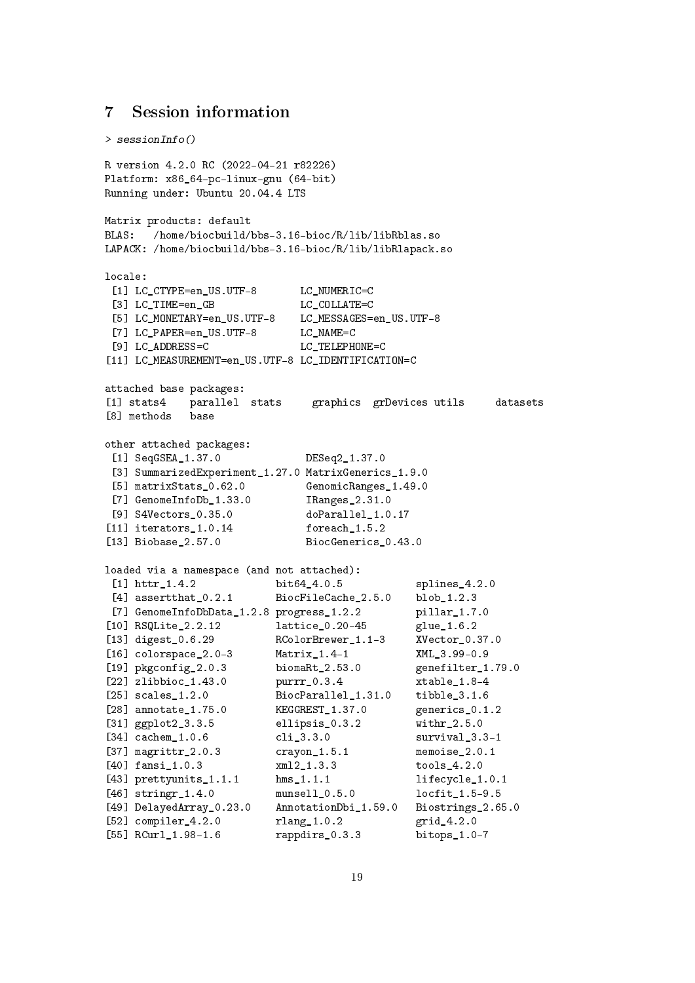# <span id="page-18-0"></span>7 Session information

```
> sessionInfo()
R version 4.2.0 RC (2022-04-21 r82226)
Platform: x86_64-pc-linux-gnu (64-bit)
Running under: Ubuntu 20.04.4 LTS
Matrix products: default
BLAS: /home/biocbuild/bbs-3.16-bioc/R/lib/libRblas.so
LAPACK: /home/biocbuild/bbs-3.16-bioc/R/lib/libRlapack.so
locale:
[1] LC CTYPE=en US.UTF-8 LC NUMERIC=C
 [3] LC TIME=en GB LC COLLATE=C
 [5] LC_MONETARY=en_US.UTF-8 LC_MESSAGES=en_US.UTF-8
[7] LC_PAPER=en_US.UTF-8 LC_NAME=C
 [9] LC_ADDRESS=C LC_TELEPHONE=C
[11] LC_MEASUREMENT=en_US.UTF-8 LC_IDENTIFICATION=C
attached base packages:
[1] stats4 parallel stats graphics grDevices utils datasets
[8] methods base
other attached packages:
 [1] SeqGSEA_1.37.0 DESeq2_1.37.0
 [3] SummarizedExperiment_1.27.0 MatrixGenerics_1.9.0
 [5] matrixStats_0.62.0 GenomicRanges_1.49.0
 [7] GenomeInfoDb_1.33.0 IRanges_2.31.0
[9] S4Vectors_0.35.0 doParallel_1.0.17
[11] iterators_1.0.14 foreach_1.5.2<br>[13] Biobase_2.57.0 BiocGenerics_
                           BiocGenerics_0.43.0
loaded via a namespace (and not attached):
[1] httr_1.4.2 bit64_4.0.5 splines_4.2.0
 [4] assertthat_0.2.1 BiocFileCache_2.5.0 blob_1.2.3
[7] GenomeInfoDbData_1.2.8 progress_1.2.2 pillar_1.7.0
[10] RSQLite 2.2.12 lattice 0.20-45 glue 1.6.2
[13] digest_0.6.29 RColorBrewer_1.1-3 XVector_0.37.0
[16] colorspace_2.0-3 Matrix_1.4-1 XML_3.99-0.9
[19] pkgconfig_2.0.3 biomaRt_2.53.0 genefilter_1.79.0
[22] zlibbioc_1.43.0 purrr_0.3.4 xtable_1.8-4
[25] scales_1.2.0 BiocParallel_1.31.0 tibble_3.1.6
[28] annotate_1.75.0 KEGGREST_1.37.0 generics_0.1.2
[31] ggplot2_3.3.5 ellipsis_0.3.2 withr_2.5.0
[34] cachem_1.0.6 cli_3.3.0 survival_3.3-1
[37] magrittr_2.0.3 crayon_1.5.1 memoise_2.0.1
[40] fansi_1.0.3 xml2_1.3.3 tools_4.2.0
[43] prettyunits_1.1.1 hms_1.1.1 lifecycle_1.0.1
[46] stringr_1.4.0 munsell_0.5.0 locfit_1.5-9.5
[49] DelayedArray_0.23.0 AnnotationDbi_1.59.0 Biostrings_2.65.0
[52] compiler_4.2.0 rlang_1.0.2 grid_4.2.0
[55] RCurl_1.98-1.6 rappdirs_0.3.3 bitops_1.0-7
```